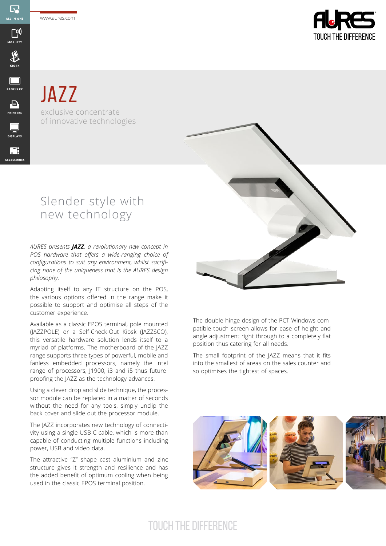www.aures.com

 $\overline{\mathbb{R}}$ ALL-IN-ON

<u>(יִי</u>

**MOBILITY** 

 $\sum_{KIOSK}$ 

 $\Box$ **PANELS PC** 

 $\begin{array}{c}\n\hline\n\end{array}$  PRINTERS

 $\Box$ **DISPLAYS** 

靡 **ACCESSORIES** 



**JAZZ** exclusive concentrate of innovative technologies

## Slender style with new technology

*AURES presents JAZZ, a revolutionary new concept in POS hardware that offers a wide-ranging choice of configurations to suit any environment, whilst sacrificing none of the uniqueness that is the AURES design philosophy.* 

Adapting itself to any IT structure on the POS, the various options offered in the range make it possible to support and optimise all steps of the customer experience.

Available as a classic EPOS terminal, pole mounted (JAZZPOLE) or a Self-Check-Out Kiosk (JAZZSCO), this versatile hardware solution lends itself to a myriad of platforms. The motherboard of the JAZZ range supports three types of powerful, mobile and fanless embedded processors, namely the Intel range of processors, J1900, i3 and i5 thus futureproofing the JAZZ as the technology advances.

Using a clever drop and slide technique, the processor module can be replaced in a matter of seconds without the need for any tools, simply unclip the back cover and slide out the processor module.

The JAZZ incorporates new technology of connectivity using a single USB-C cable, which is more than capable of conducting multiple functions including power, USB and video data.

The attractive "Z" shape cast aluminium and zinc structure gives it strength and resilience and has the added benefit of optimum cooling when being used in the classic EPOS terminal position.



The double hinge design of the PCT Windows compatible touch screen allows for ease of height and angle adjustment right through to a completely flat position thus catering for all needs.

The small footprint of the JAZZ means that it fits into the smallest of areas on the sales counter and so optimises the tightest of spaces.